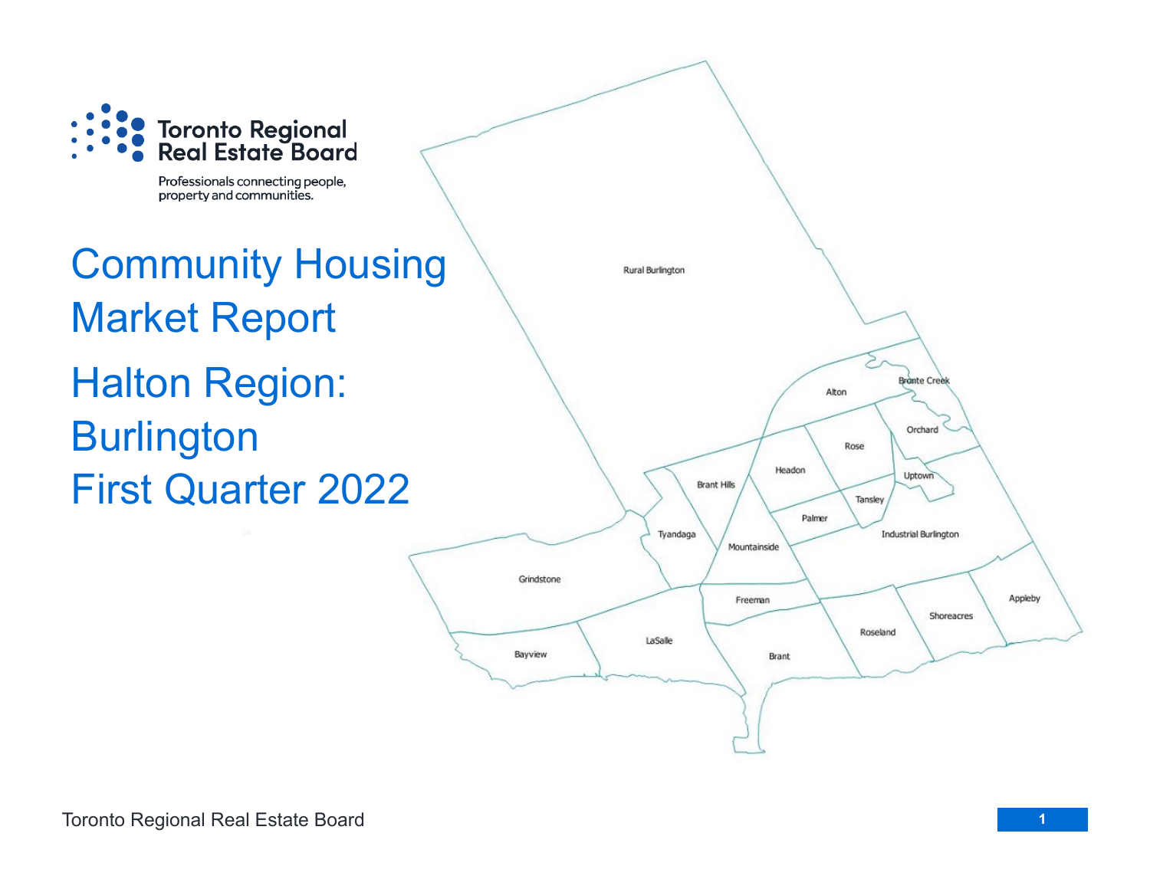

Professionals connecting people, property and communities.

Community Housing Market Report Halton Region: **Burlington** First Quarter 2022

Rural Burlington 20 **Bronte Creek** Alton Orchard Rose Headon Uptown **Brant Hills** Tansley Palmer Tyandaga **Industrial Burlington** Mountainside Grindstone Appleby Freeman Shoreacres Roseland LaSalle Bayview Brant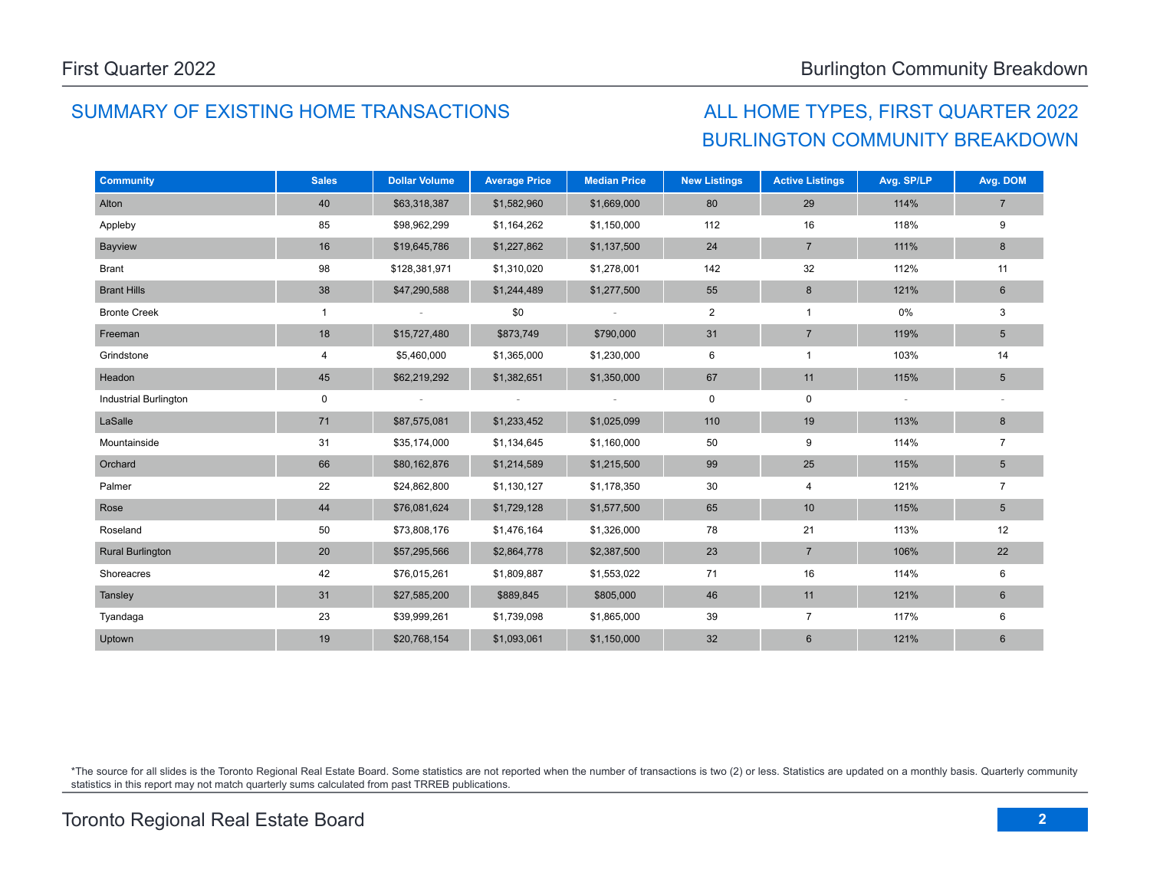# SUMMARY OF EXISTING HOME TRANSACTIONS ALL HOME TYPES, FIRST QUARTER 2022

# BURLINGTON COMMUNITY BREAKDOWN

| <b>Community</b>             | <b>Sales</b> | <b>Dollar Volume</b> | <b>Average Price</b> | <b>Median Price</b>      | <b>New Listings</b> | <b>Active Listings</b>  | Avg. SP/LP               | Avg. DOM        |
|------------------------------|--------------|----------------------|----------------------|--------------------------|---------------------|-------------------------|--------------------------|-----------------|
| Alton                        | 40           | \$63,318,387         | \$1,582,960          | \$1,669,000              | 80                  | 29                      | 114%                     | $\overline{7}$  |
| Appleby                      | 85           | \$98,962,299         | \$1,164,262          | \$1,150,000              | 112                 | 16                      | 118%                     | 9               |
| Bayview                      | 16           | \$19,645,786         | \$1,227,862          | \$1,137,500              | 24                  | $\overline{7}$          | 111%                     | 8               |
| <b>Brant</b>                 | 98           | \$128,381,971        | \$1,310,020          | \$1,278,001              | 142                 | 32                      | 112%                     | 11              |
| <b>Brant Hills</b>           | 38           | \$47,290,588         | \$1,244,489          | \$1,277,500              | 55                  | 8                       | 121%                     | 6               |
| <b>Bronte Creek</b>          | $\mathbf{1}$ |                      | \$0                  | $\overline{\phantom{a}}$ | $\overline{2}$      | $\mathbf{1}$            | 0%                       | 3               |
| Freeman                      | 18           | \$15,727,480         | \$873,749            | \$790,000                | 31                  | $\overline{7}$          | 119%                     | $5\phantom{.0}$ |
| Grindstone                   | 4            | \$5,460,000          | \$1,365,000          | \$1,230,000              | 6                   | $\mathbf{1}$            | 103%                     | 14              |
| Headon                       | 45           | \$62,219,292         | \$1,382,651          | \$1,350,000              | 67                  | 11                      | 115%                     | $5\phantom{.0}$ |
| <b>Industrial Burlington</b> | $\mathbf 0$  |                      | $\sim$               | $\sim$                   | 0                   | 0                       | $\overline{\phantom{a}}$ |                 |
| LaSalle                      | 71           | \$87,575,081         | \$1,233,452          | \$1,025,099              | 110                 | 19                      | 113%                     | 8               |
| Mountainside                 | 31           | \$35,174,000         | \$1,134,645          | \$1,160,000              | 50                  | 9                       | 114%                     | $\overline{7}$  |
| Orchard                      | 66           | \$80,162,876         | \$1,214,589          | \$1,215,500              | 99                  | 25                      | 115%                     | $\sqrt{5}$      |
| Palmer                       | 22           | \$24,862,800         | \$1,130,127          | \$1,178,350              | 30                  | $\overline{\mathbf{4}}$ | 121%                     | $\overline{7}$  |
| Rose                         | 44           | \$76,081,624         | \$1,729,128          | \$1,577,500              | 65                  | 10                      | 115%                     | $5\phantom{.0}$ |
| Roseland                     | 50           | \$73,808,176         | \$1,476,164          | \$1,326,000              | 78                  | 21                      | 113%                     | 12              |
| <b>Rural Burlington</b>      | 20           | \$57,295,566         | \$2,864,778          | \$2,387,500              | 23                  | $\overline{7}$          | 106%                     | 22              |
| Shoreacres                   | 42           | \$76,015,261         | \$1,809,887          | \$1,553,022              | 71                  | 16                      | 114%                     | 6               |
| Tansley                      | 31           | \$27,585,200         | \$889,845            | \$805,000                | 46                  | 11                      | 121%                     | 6               |
| Tyandaga                     | 23           | \$39,999,261         | \$1,739,098          | \$1,865,000              | 39                  | $\overline{7}$          | 117%                     | 6               |
| Uptown                       | 19           | \$20,768,154         | \$1,093,061          | \$1,150,000              | 32                  | $\,6$                   | 121%                     | $6\phantom{1}$  |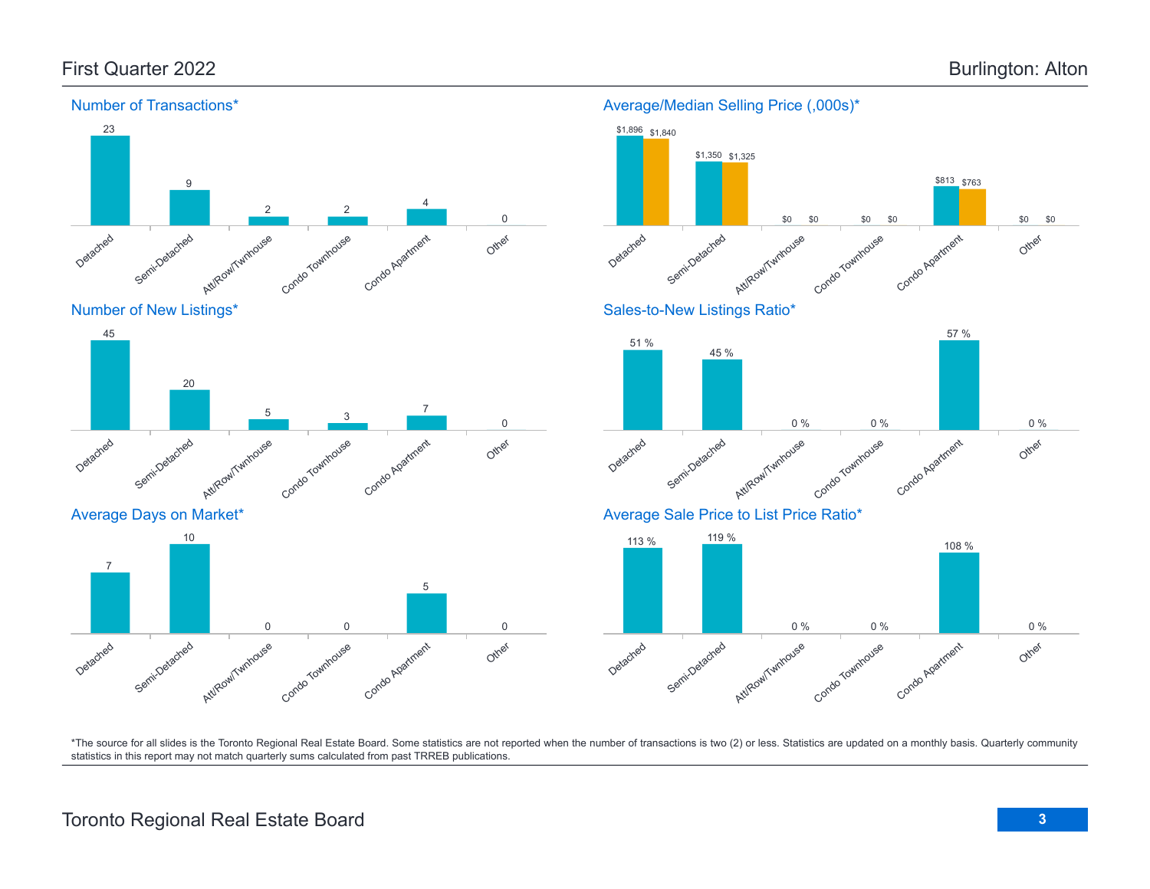

#### Average/Median Selling Price (,000s)\*





Condo Townhouse

0 0

Condo Apartment

\*The source for all slides is the Toronto Regional Real Estate Board. Some statistics are not reported when the number of transactions is two (2) or less. Statistics are updated on a monthly basis. Quarterly community statistics in this report may not match quarterly sums calculated from past TRREB publications.

Other

0

Att/Row/Twnhouse

Detached

Semi-Detached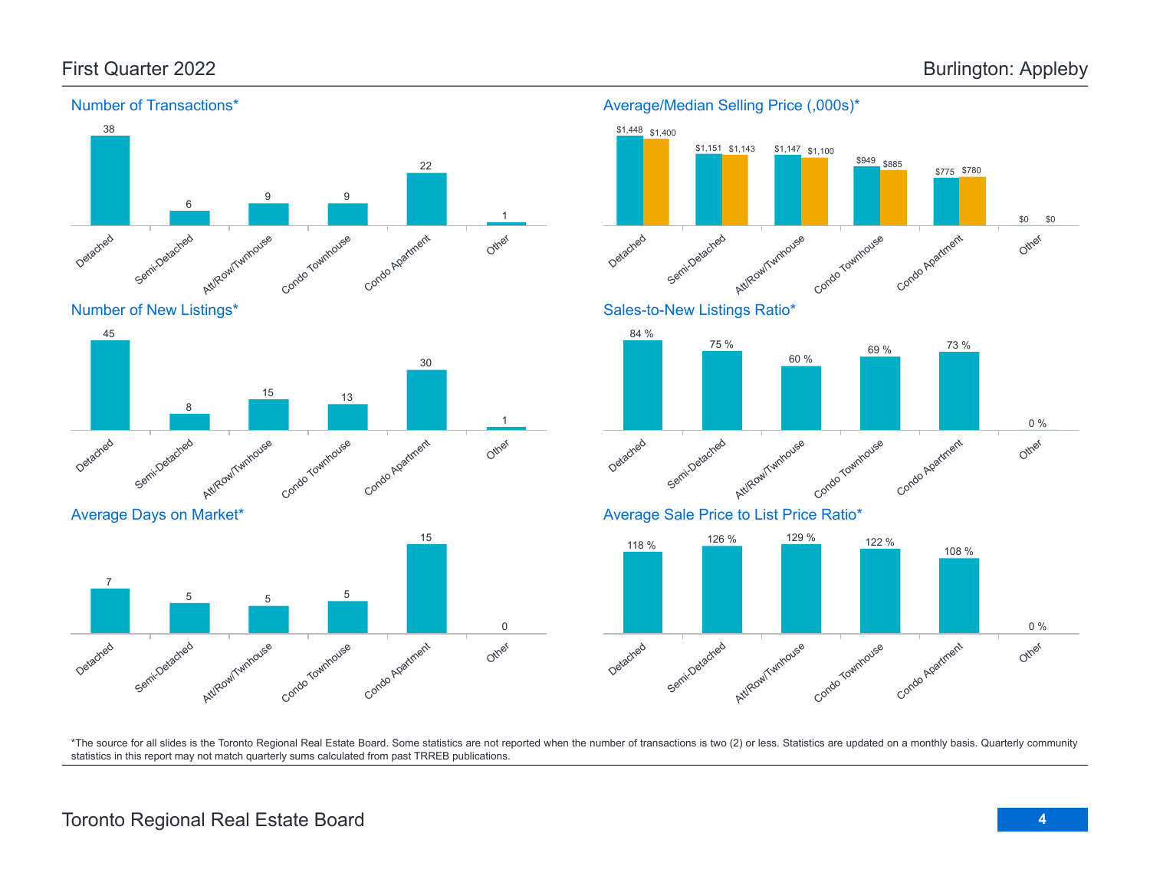Other

Other

Other

0 %

0 %

\$0

\$0



\*The source for all slides is the Toronto Regional Real Estate Board. Some statistics are not reported when the number of transactions is two (2) or less. Statistics are updated on a monthly basis. Quarterly community statistics in this report may not match quarterly sums calculated from past TRREB publications.

# Toronto Regional Real Estate Board **4**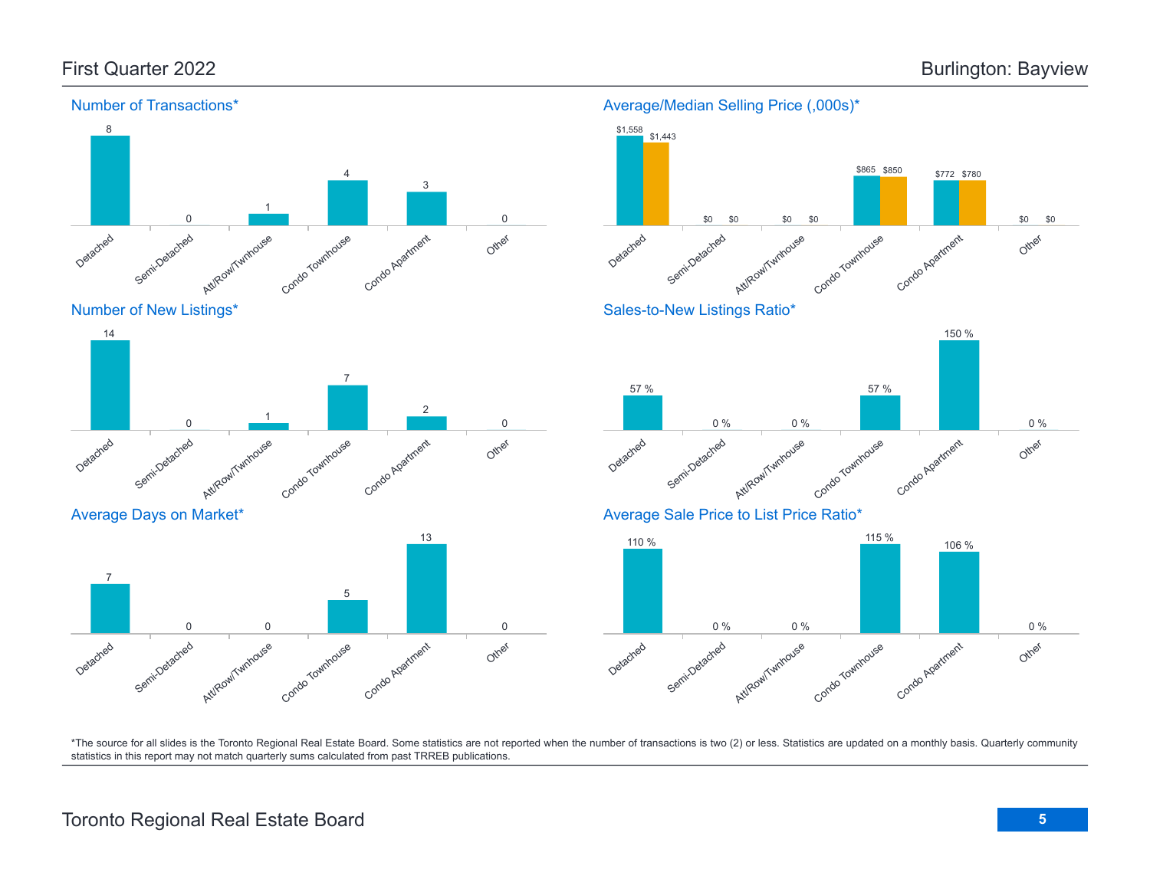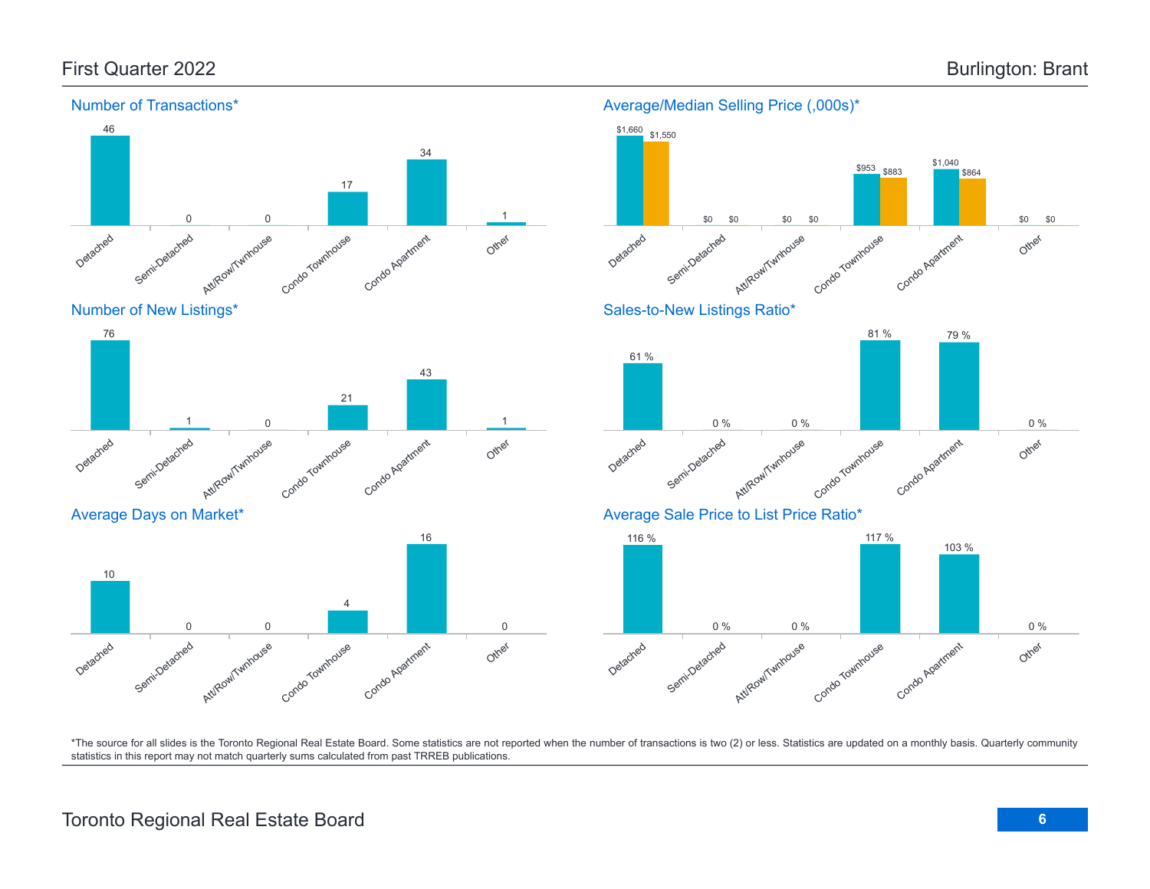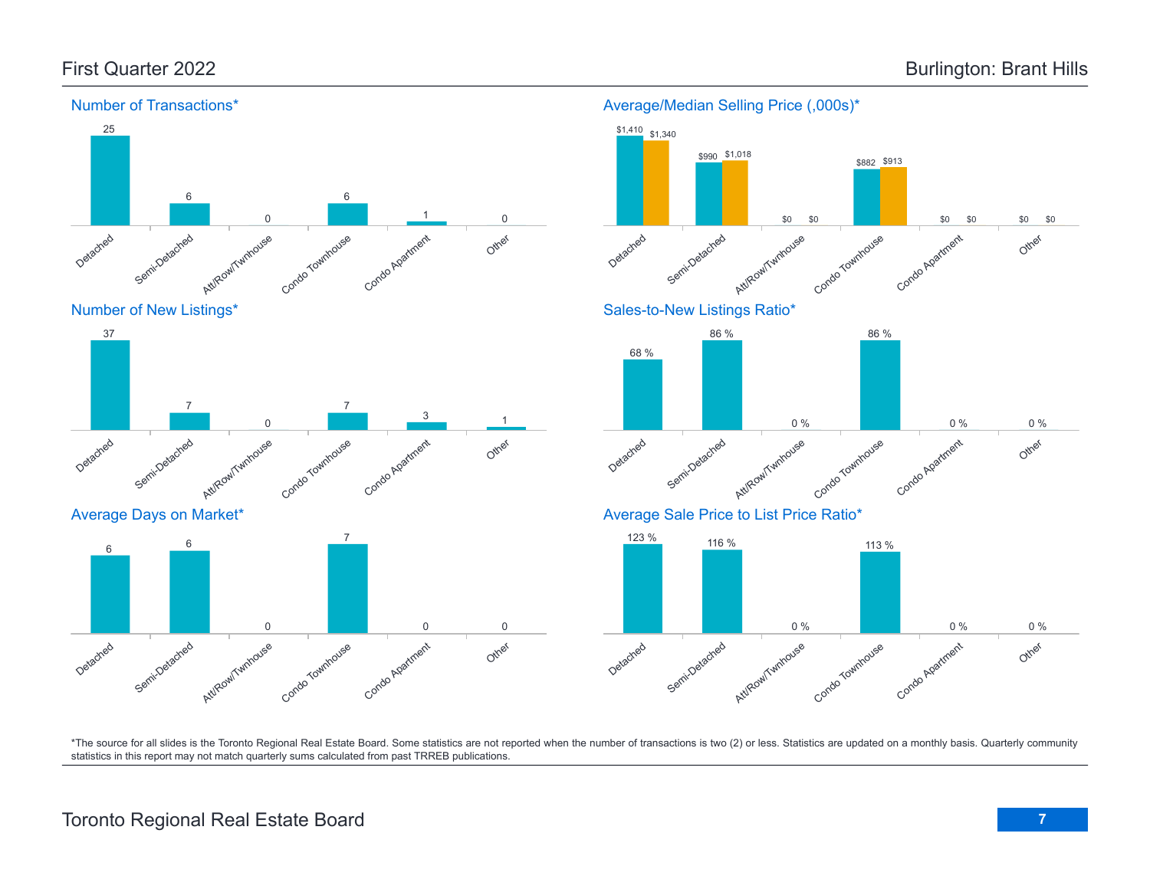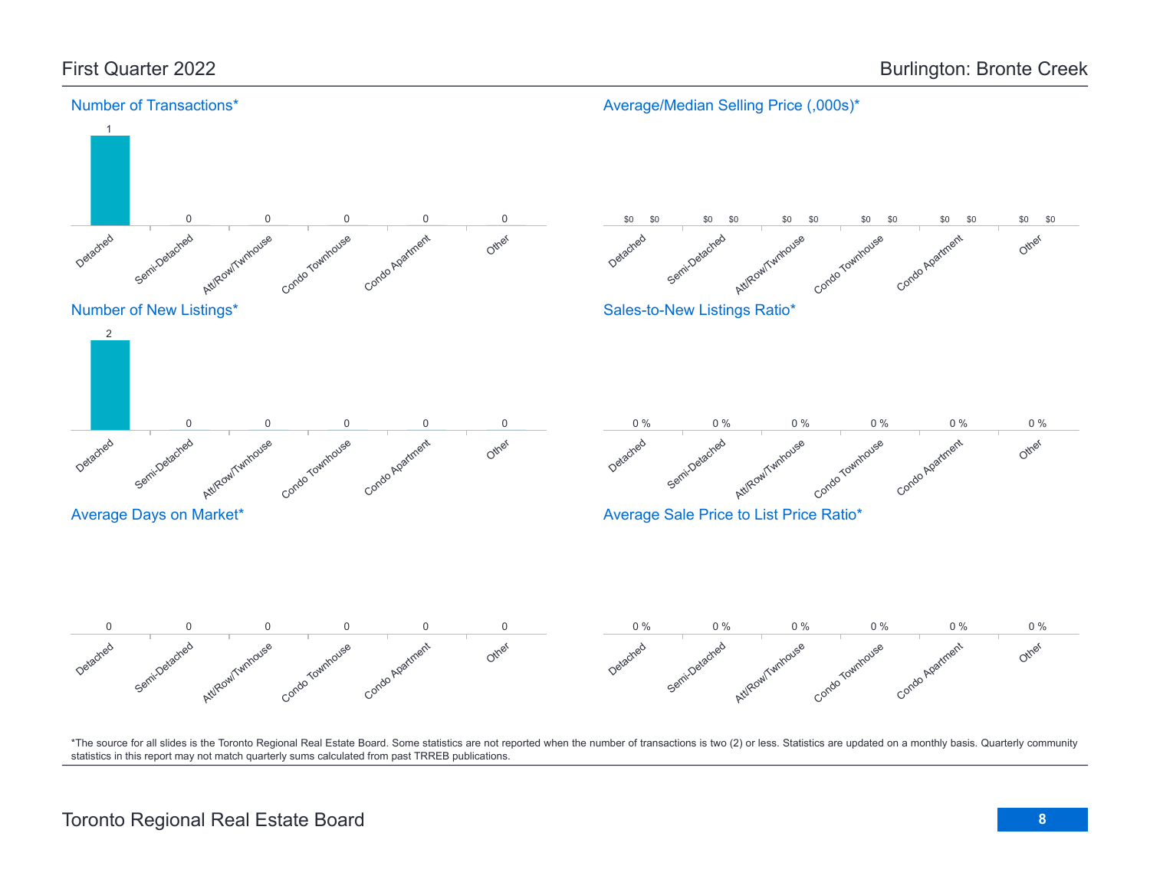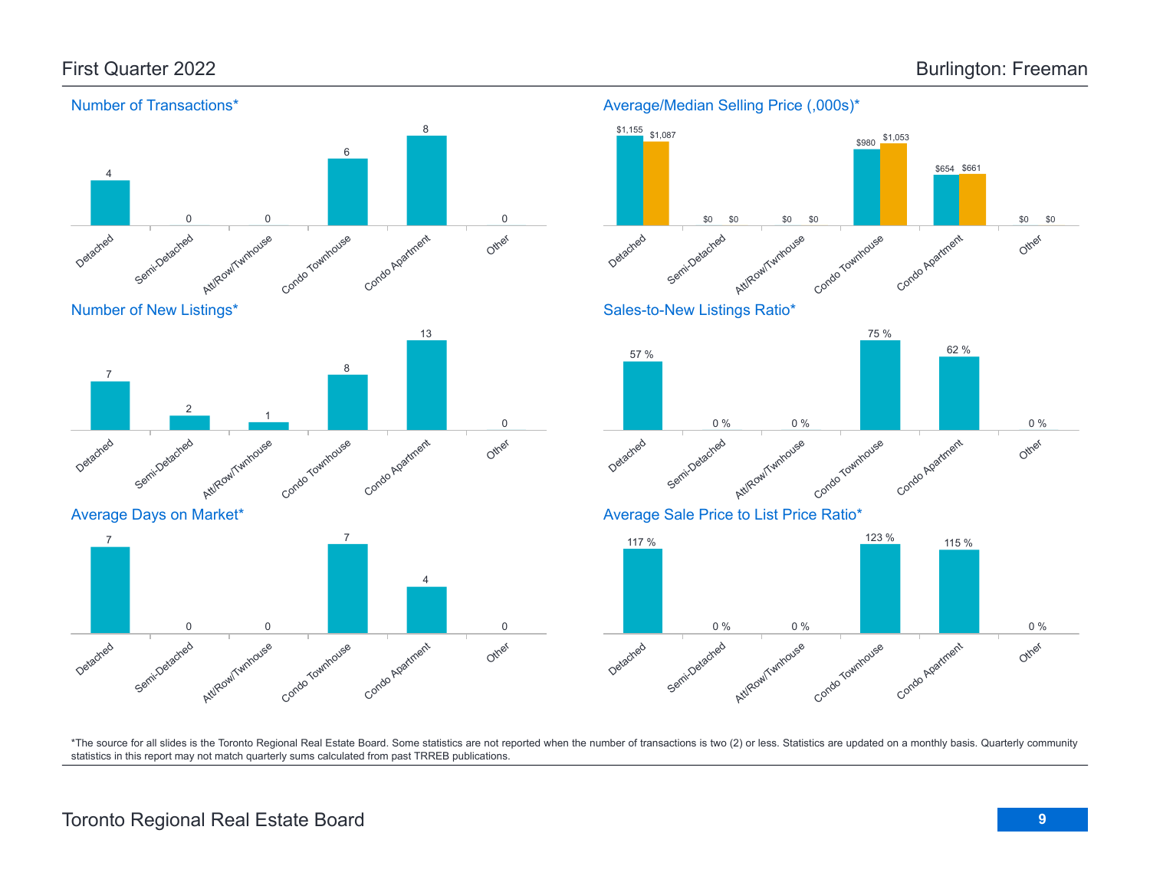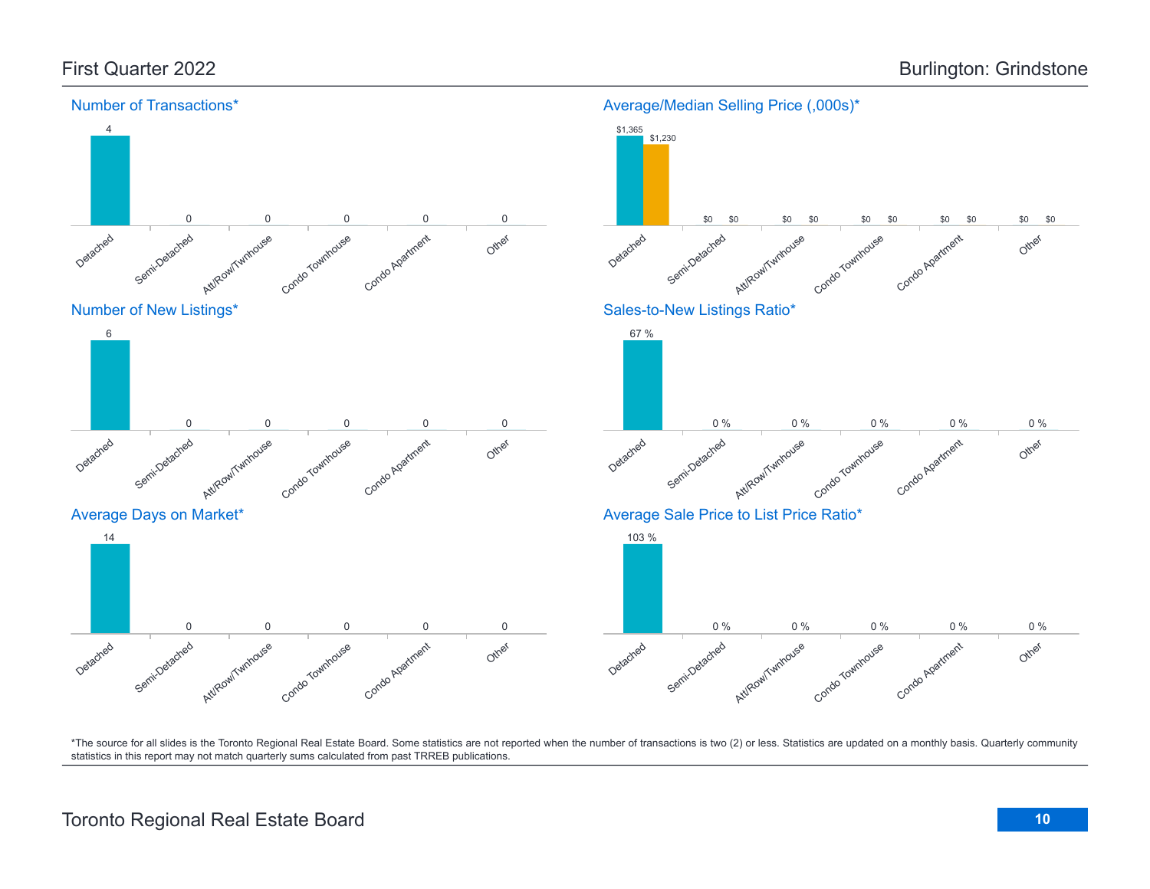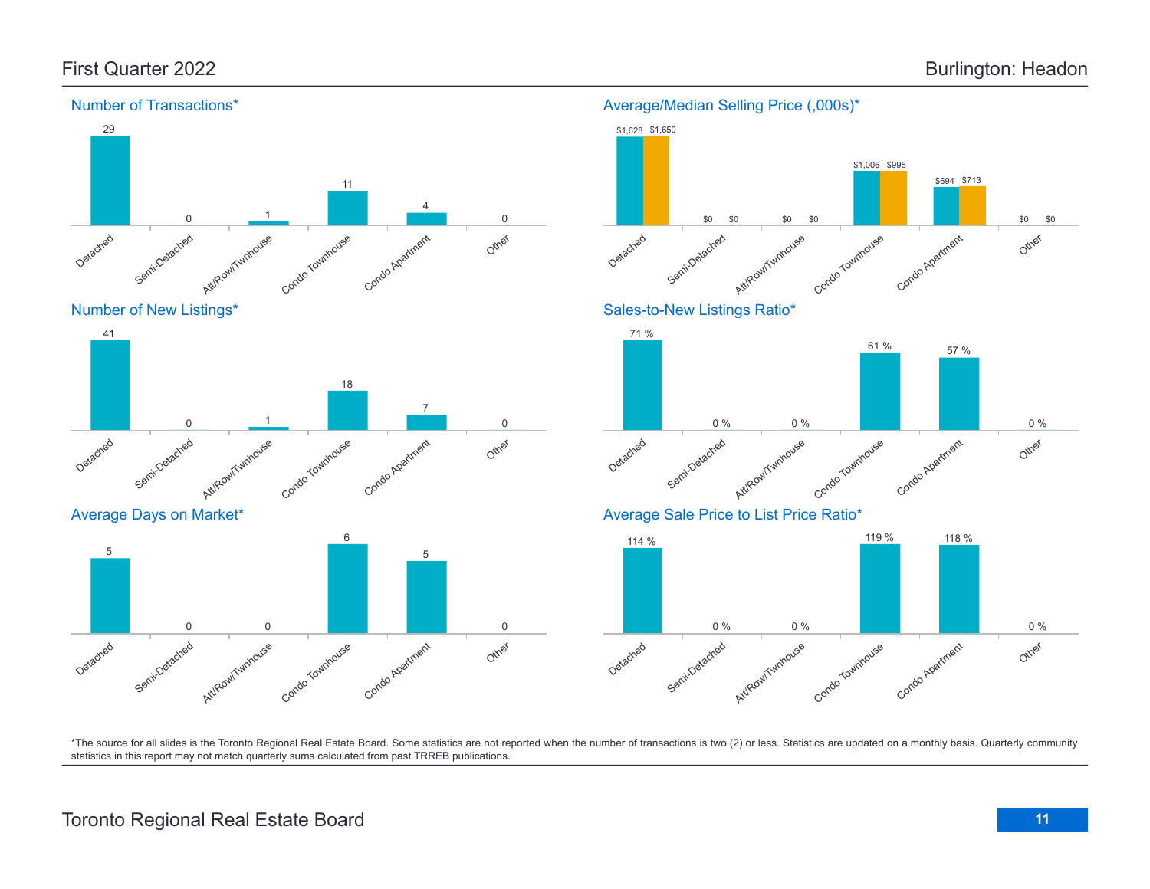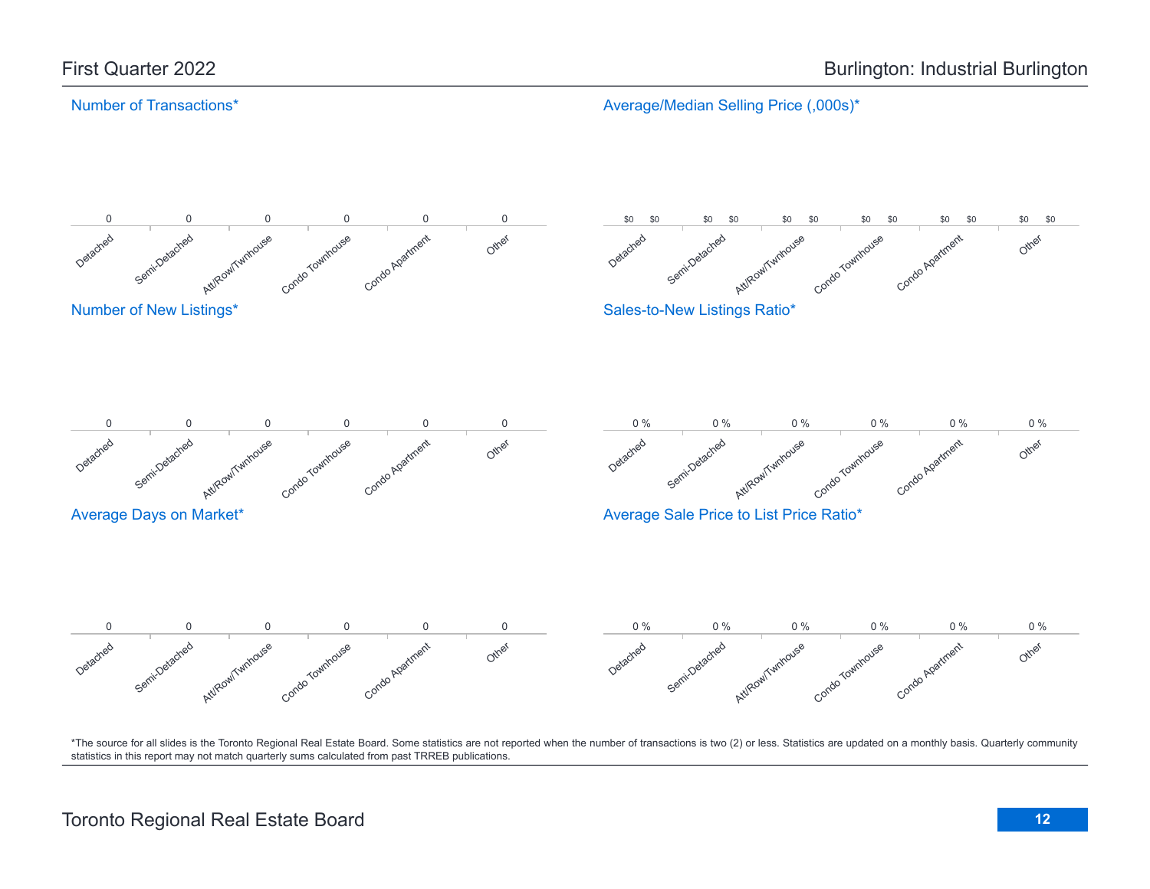#### Number of Transactions\*

Average/Median Selling Price (,000s)\*

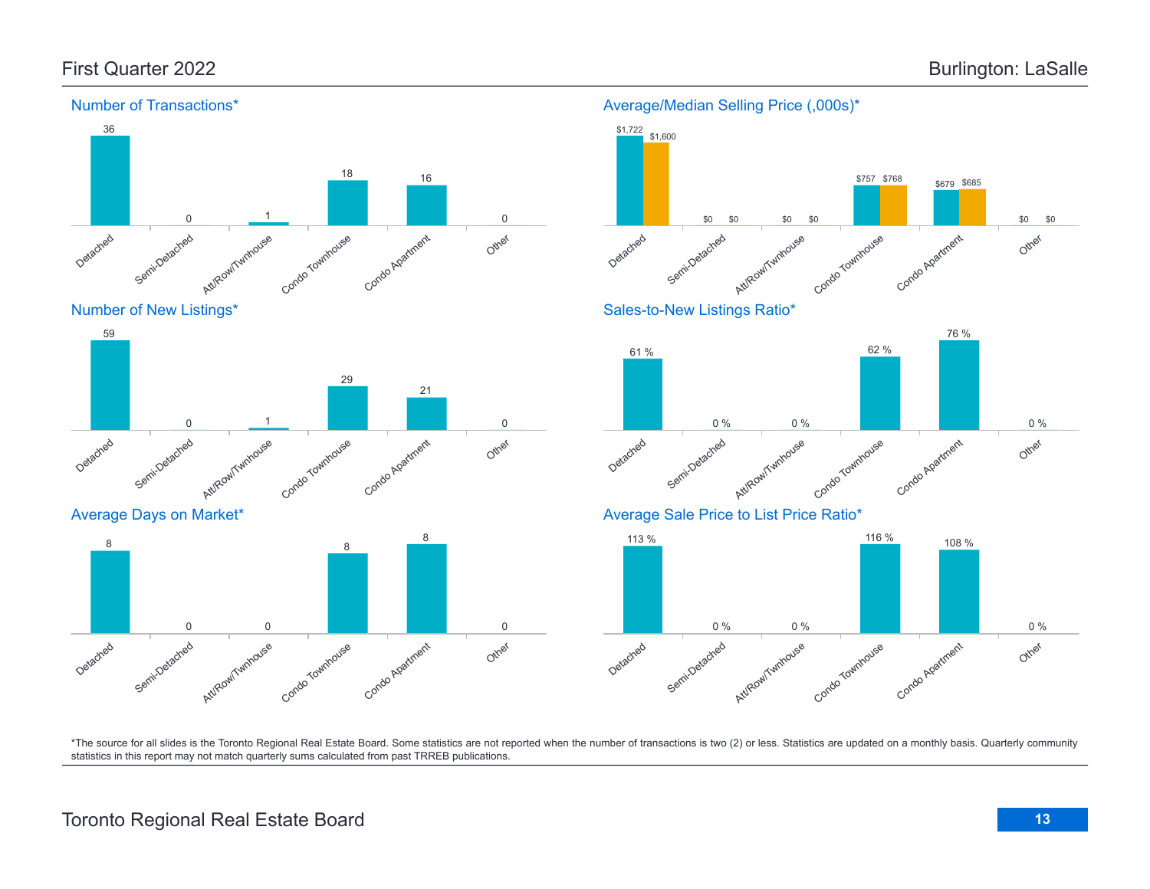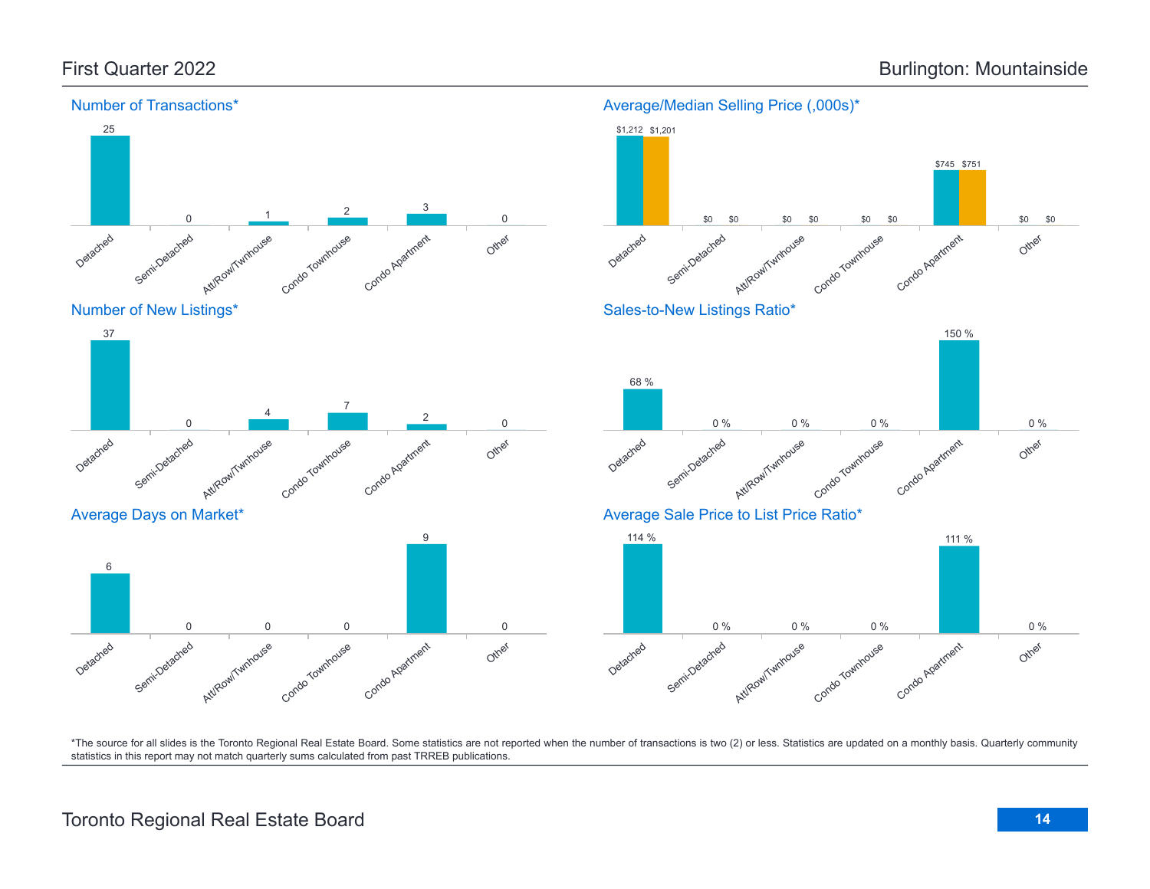

# Toronto Regional Real Estate Board **14**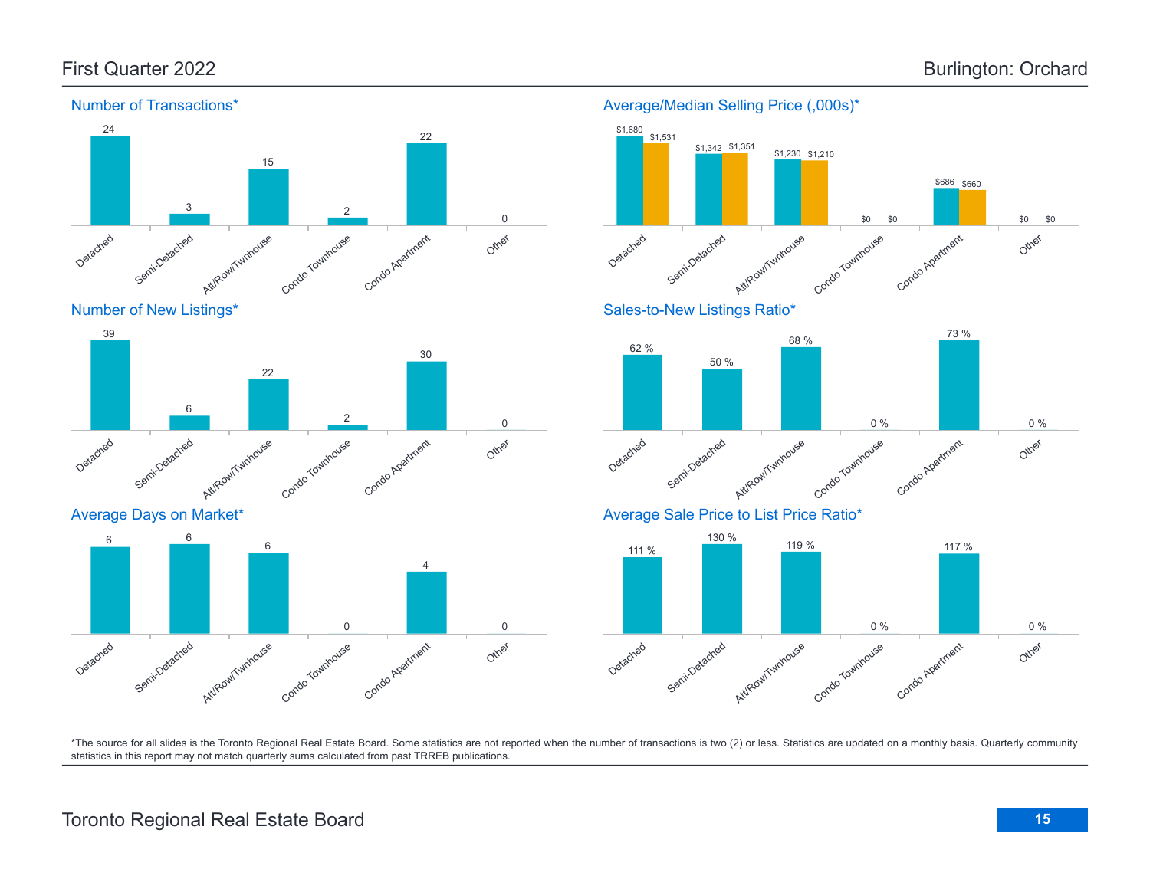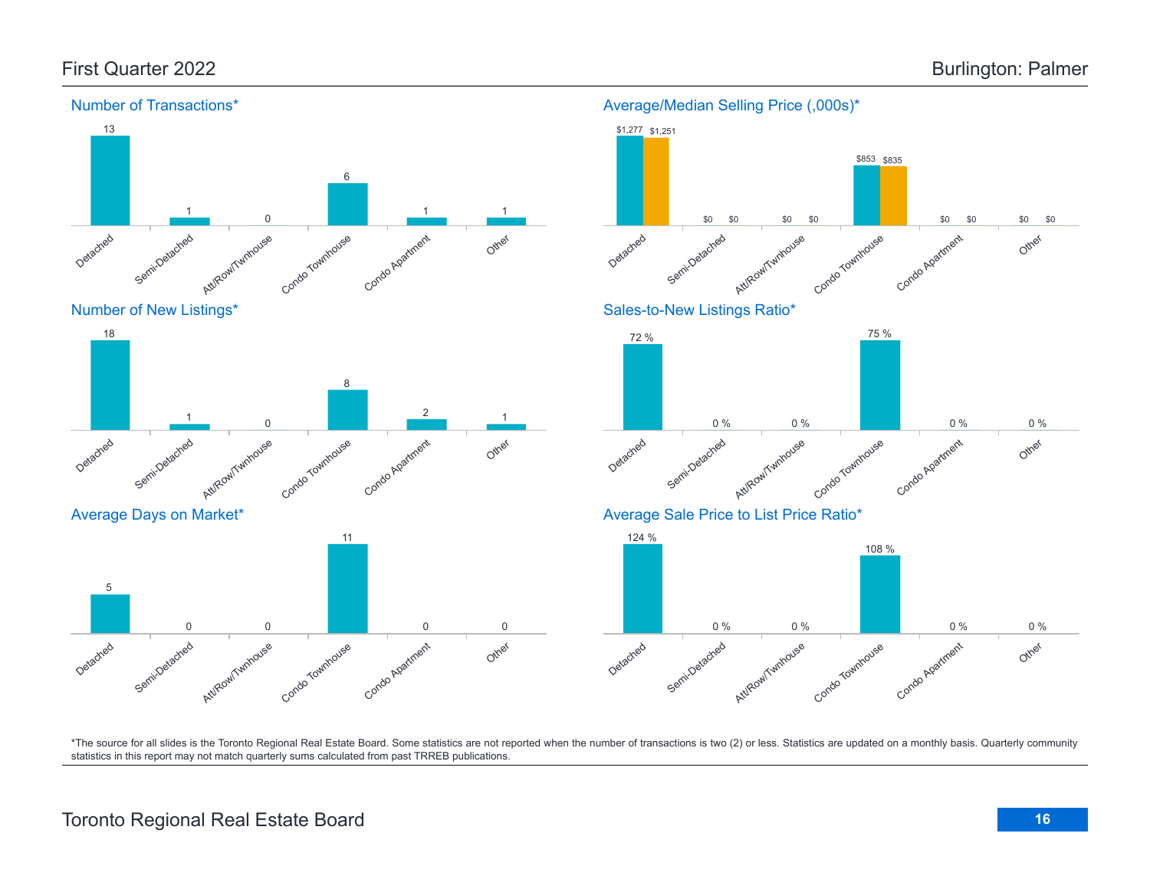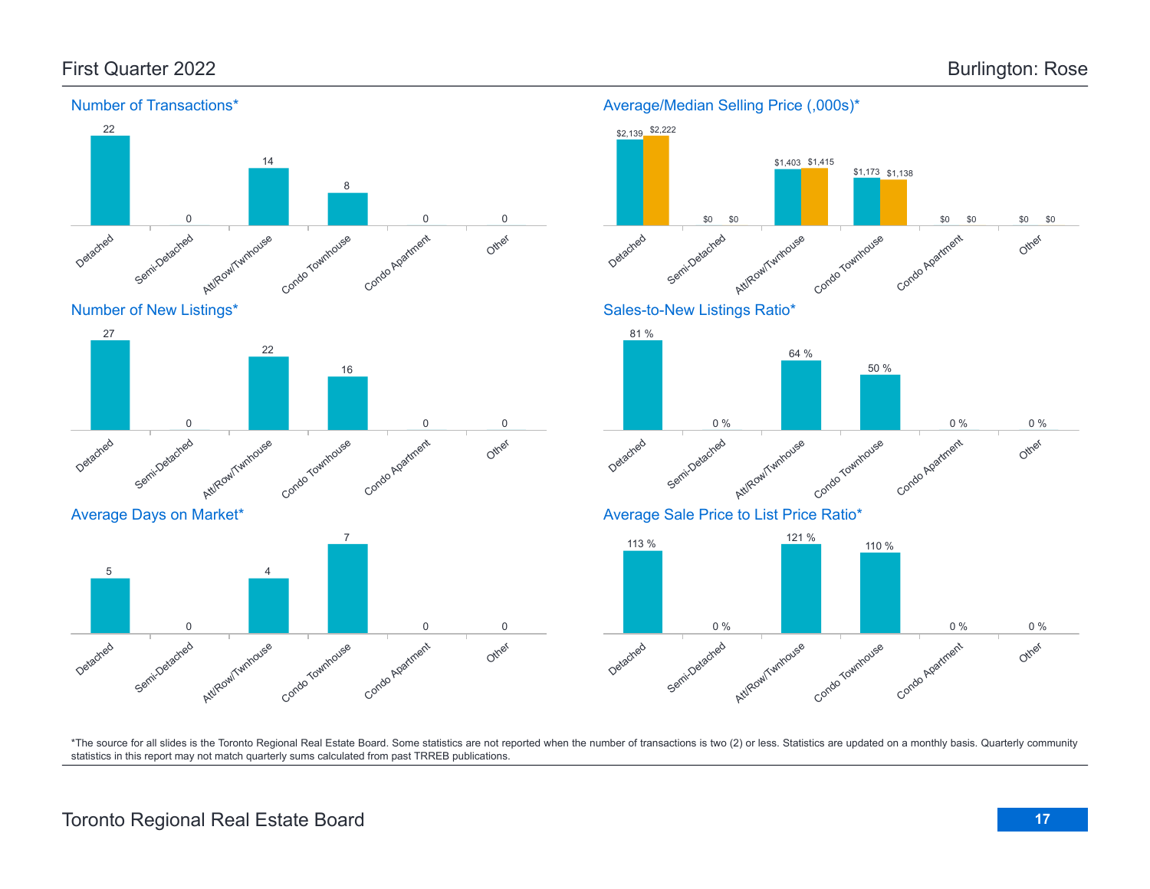

### Toronto Regional Real Estate Board **17**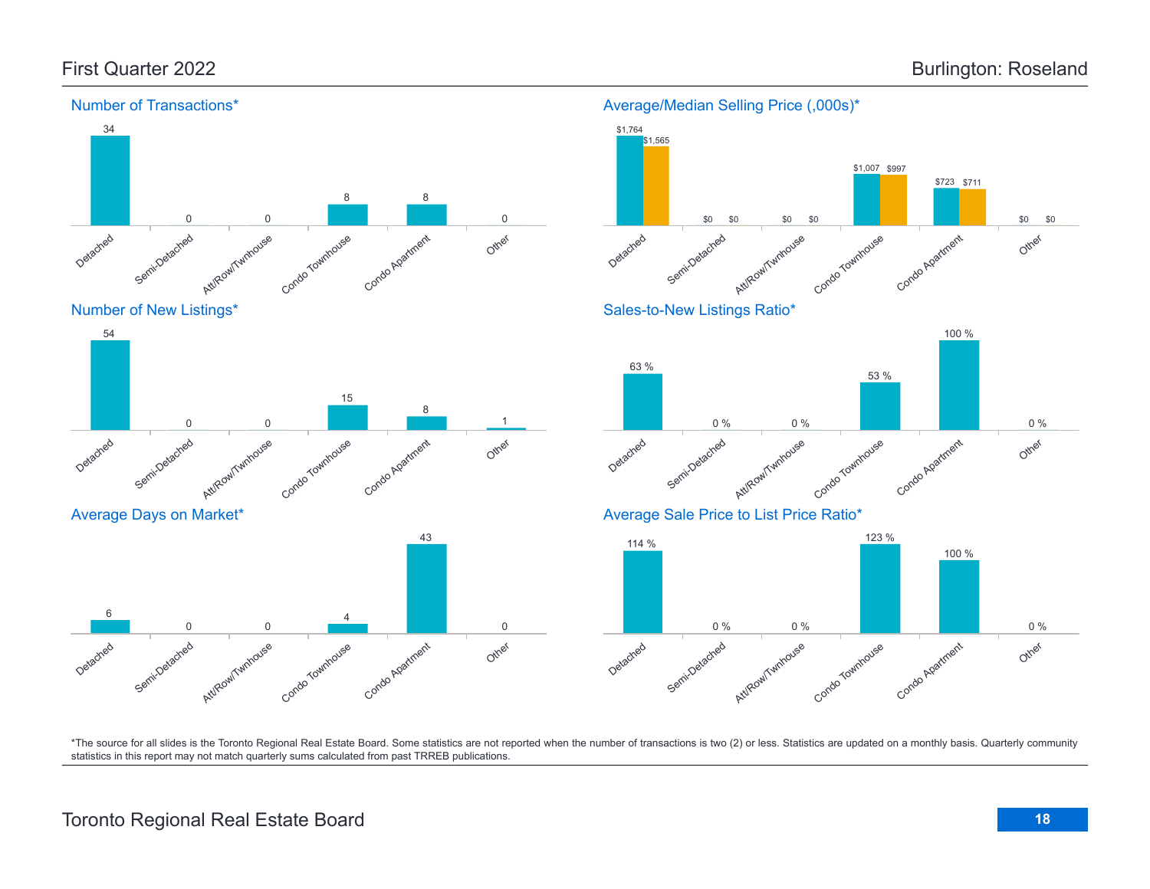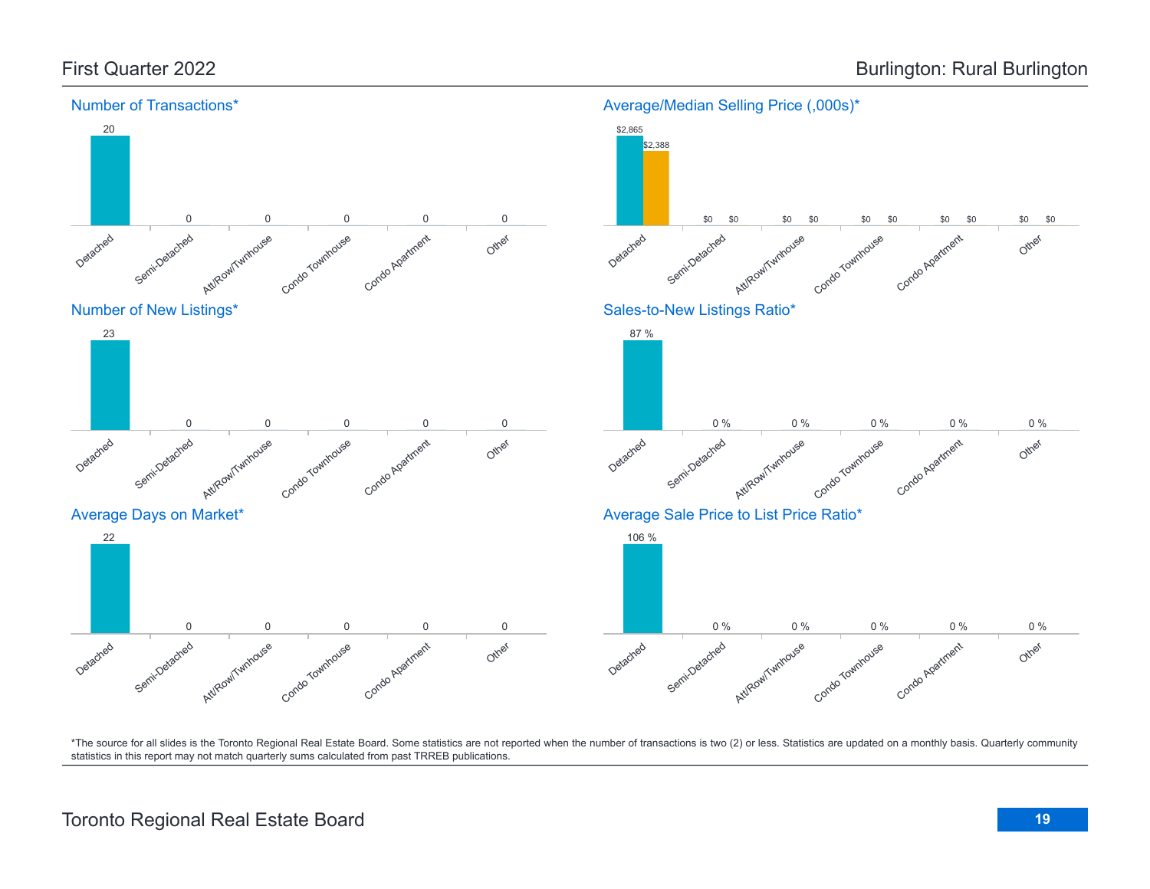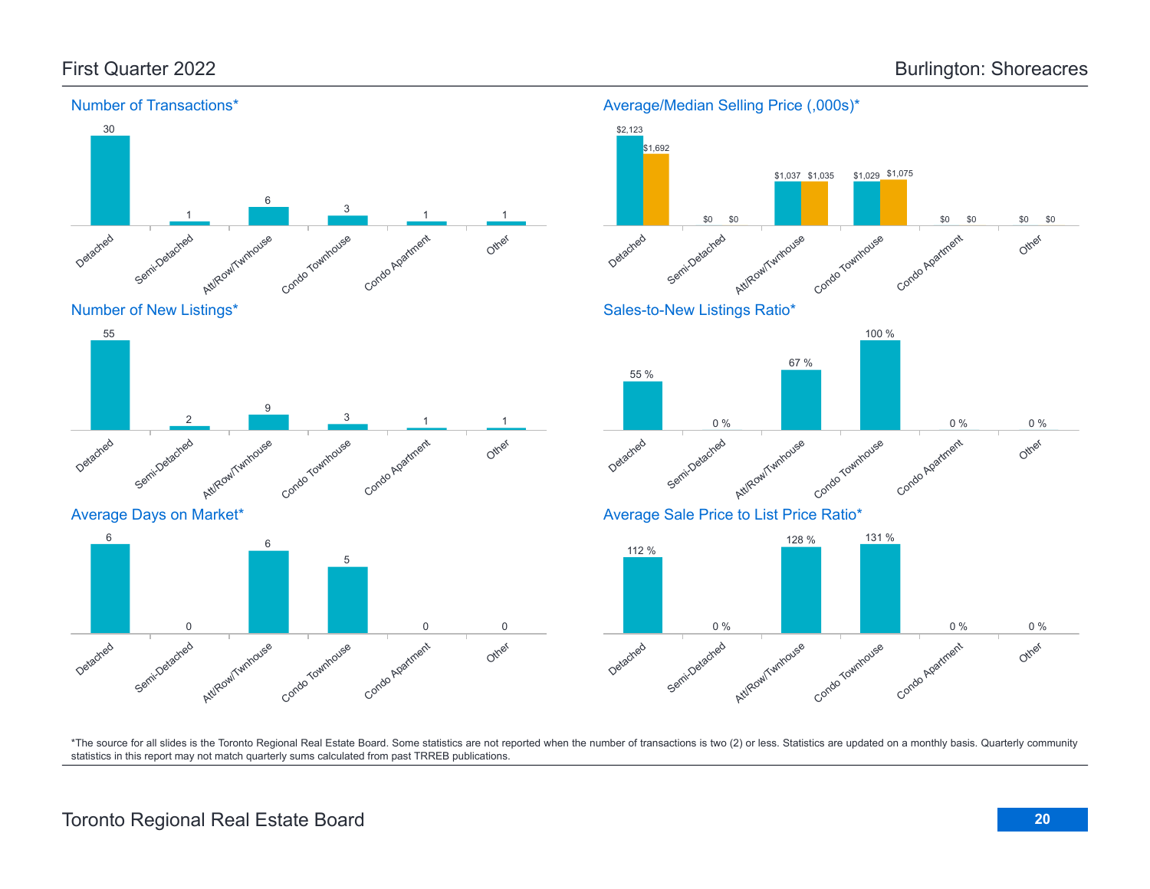Average Days on Market\*

Semi-Detached

0

Detached

6



#### Average/Median Selling Price (,000s)\*



\*The source for all slides is the Toronto Regional Real Estate Board. Some statistics are not reported when the number of transactions is two (2) or less. Statistics are updated on a monthly basis. Quarterly community statistics in this report may not match quarterly sums calculated from past TRREB publications.

Other

0 0

Att/Row/Twnhouse

6

Condo Townhouse

5

Condo Apartment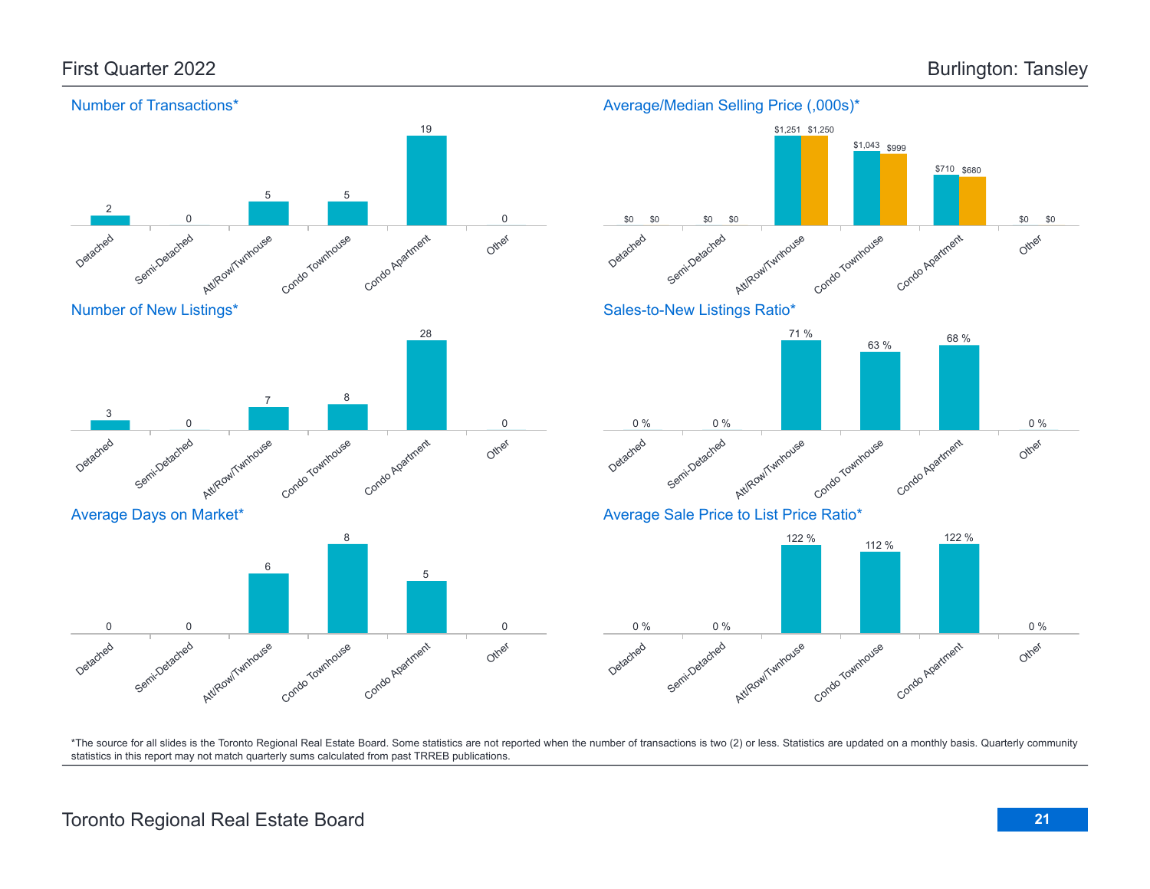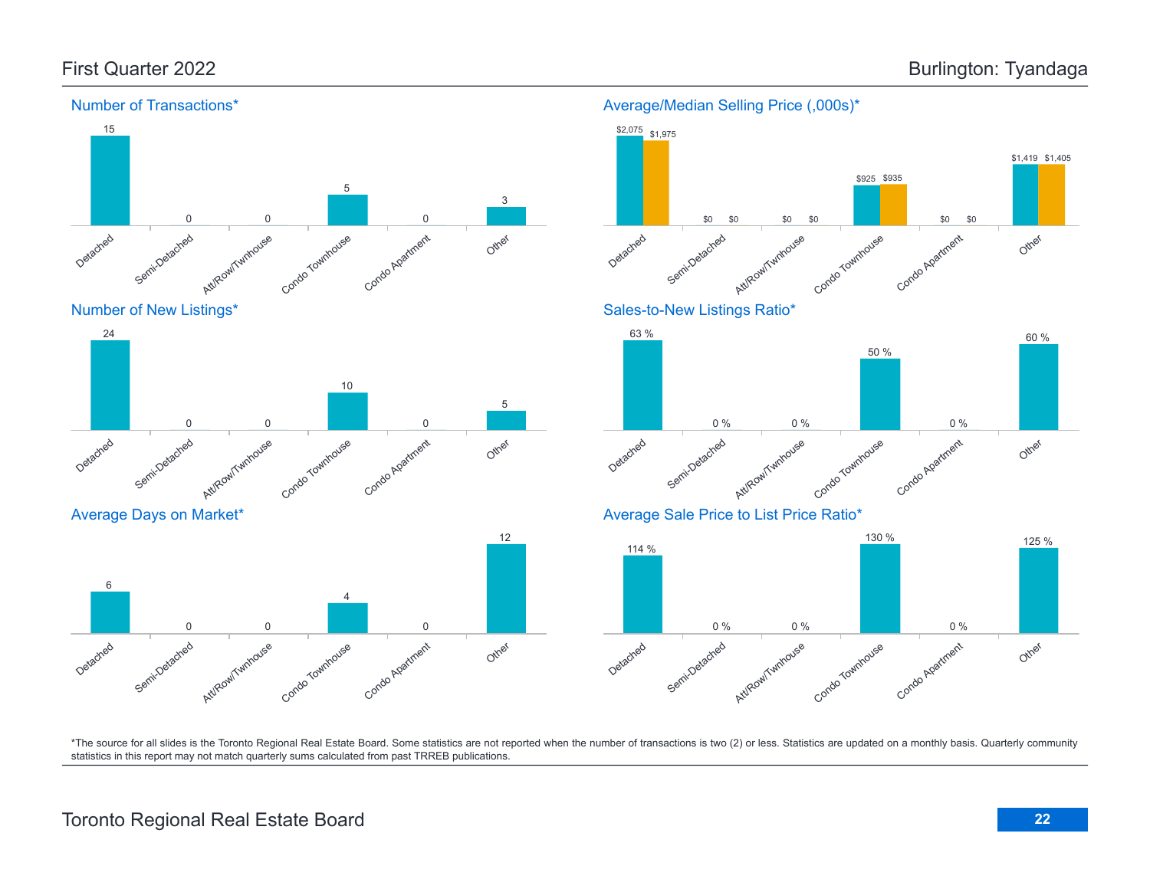